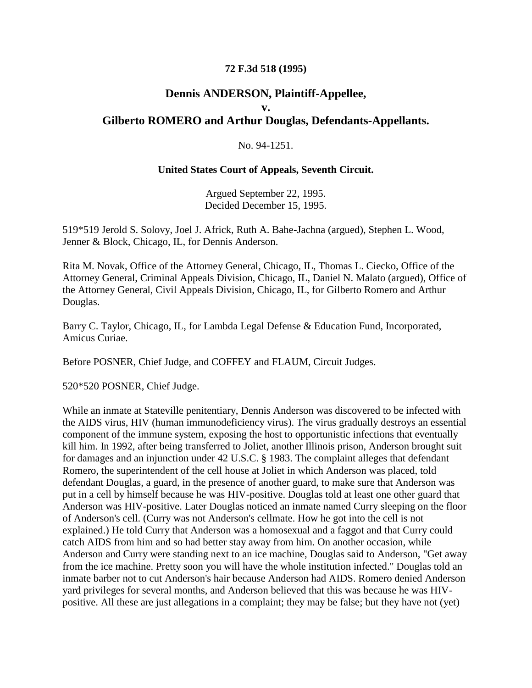## **72 F.3d 518 (1995)**

## **Dennis ANDERSON, Plaintiff-Appellee, v. Gilberto ROMERO and Arthur Douglas, Defendants-Appellants.**

## No. 94-1251.

## **United States Court of Appeals, Seventh Circuit.**

Argued September 22, 1995. Decided December 15, 1995.

519\*519 Jerold S. Solovy, Joel J. Africk, Ruth A. Bahe-Jachna (argued), Stephen L. Wood, Jenner & Block, Chicago, IL, for Dennis Anderson.

Rita M. Novak, Office of the Attorney General, Chicago, IL, Thomas L. Ciecko, Office of the Attorney General, Criminal Appeals Division, Chicago, IL, Daniel N. Malato (argued), Office of the Attorney General, Civil Appeals Division, Chicago, IL, for Gilberto Romero and Arthur Douglas.

Barry C. Taylor, Chicago, IL, for Lambda Legal Defense & Education Fund, Incorporated, Amicus Curiae.

Before POSNER, Chief Judge, and COFFEY and FLAUM, Circuit Judges.

520\*520 POSNER, Chief Judge.

While an inmate at Stateville penitentiary, Dennis Anderson was discovered to be infected with the AIDS virus, HIV (human immunodeficiency virus). The virus gradually destroys an essential component of the immune system, exposing the host to opportunistic infections that eventually kill him. In 1992, after being transferred to Joliet, another Illinois prison, Anderson brought suit for damages and an injunction under 42 U.S.C. § 1983. The complaint alleges that defendant Romero, the superintendent of the cell house at Joliet in which Anderson was placed, told defendant Douglas, a guard, in the presence of another guard, to make sure that Anderson was put in a cell by himself because he was HIV-positive. Douglas told at least one other guard that Anderson was HIV-positive. Later Douglas noticed an inmate named Curry sleeping on the floor of Anderson's cell. (Curry was not Anderson's cellmate. How he got into the cell is not explained.) He told Curry that Anderson was a homosexual and a faggot and that Curry could catch AIDS from him and so had better stay away from him. On another occasion, while Anderson and Curry were standing next to an ice machine, Douglas said to Anderson, "Get away from the ice machine. Pretty soon you will have the whole institution infected." Douglas told an inmate barber not to cut Anderson's hair because Anderson had AIDS. Romero denied Anderson yard privileges for several months, and Anderson believed that this was because he was HIVpositive. All these are just allegations in a complaint; they may be false; but they have not (yet)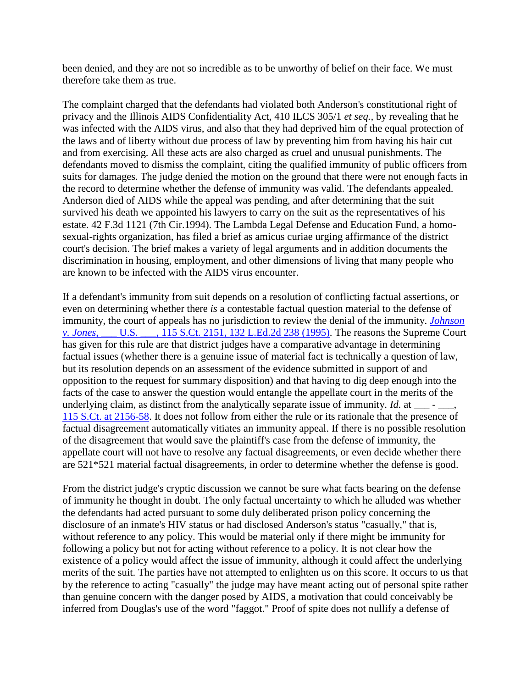been denied, and they are not so incredible as to be unworthy of belief on their face. We must therefore take them as true.

The complaint charged that the defendants had violated both Anderson's constitutional right of privacy and the Illinois AIDS Confidentiality Act, 410 ILCS 305/1 *et seq.,* by revealing that he was infected with the AIDS virus, and also that they had deprived him of the equal protection of the laws and of liberty without due process of law by preventing him from having his hair cut and from exercising. All these acts are also charged as cruel and unusual punishments. The defendants moved to dismiss the complaint, citing the qualified immunity of public officers from suits for damages. The judge denied the motion on the ground that there were not enough facts in the record to determine whether the defense of immunity was valid. The defendants appealed. Anderson died of AIDS while the appeal was pending, and after determining that the suit survived his death we appointed his lawyers to carry on the suit as the representatives of his estate. 42 F.3d 1121 (7th Cir.1994). The Lambda Legal Defense and Education Fund, a homosexual-rights organization, has filed a brief as amicus curiae urging affirmance of the district court's decision. The brief makes a variety of legal arguments and in addition documents the discrimination in housing, employment, and other dimensions of living that many people who are known to be infected with the AIDS virus encounter.

If a defendant's immunity from suit depends on a resolution of conflicting factual assertions, or even on determining whether there *is* a contestable factual question material to the defense of immunity, the court of appeals has no jurisdiction to review the denial of the immunity. *[Johnson](http://scholar.google.co.in/scholar_case?case=9548115935731615976&q=nderson+v+Romero&hl=en&as_sdt=2,5&scilh=0)  v. Jones,* [\\_\\_\\_ U.S. \\_\\_\\_, 115 S.Ct. 2151, 132 L.Ed.2d 238 \(1995\).](http://scholar.google.co.in/scholar_case?case=9548115935731615976&q=nderson+v+Romero&hl=en&as_sdt=2,5&scilh=0) The reasons the Supreme Court has given for this rule are that district judges have a comparative advantage in determining factual issues (whether there is a genuine issue of material fact is technically a question of law, but its resolution depends on an assessment of the evidence submitted in support of and opposition to the request for summary disposition) and that having to dig deep enough into the facts of the case to answer the question would entangle the appellate court in the merits of the underlying claim, as distinct from the analytically separate issue of immunity. *Id.* at \_\_\_ - \_\_\_, [115 S.Ct. at 2156-58.](http://scholar.google.co.in/scholar_case?case=9548115935731615976&q=nderson+v+Romero&hl=en&as_sdt=2,5&scilh=0) It does not follow from either the rule or its rationale that the presence of factual disagreement automatically vitiates an immunity appeal. If there is no possible resolution of the disagreement that would save the plaintiff's case from the defense of immunity, the appellate court will not have to resolve any factual disagreements, or even decide whether there are 521\*521 material factual disagreements, in order to determine whether the defense is good.

From the district judge's cryptic discussion we cannot be sure what facts bearing on the defense of immunity he thought in doubt. The only factual uncertainty to which he alluded was whether the defendants had acted pursuant to some duly deliberated prison policy concerning the disclosure of an inmate's HIV status or had disclosed Anderson's status "casually," that is, without reference to any policy. This would be material only if there might be immunity for following a policy but not for acting without reference to a policy. It is not clear how the existence of a policy would affect the issue of immunity, although it could affect the underlying merits of the suit. The parties have not attempted to enlighten us on this score. It occurs to us that by the reference to acting "casually" the judge may have meant acting out of personal spite rather than genuine concern with the danger posed by AIDS, a motivation that could conceivably be inferred from Douglas's use of the word "faggot." Proof of spite does not nullify a defense of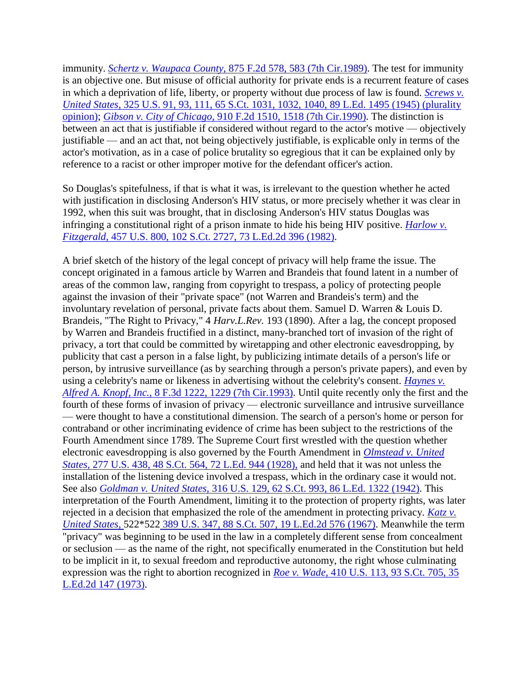immunity. *Schertz v. Waupaca County,* [875 F.2d 578, 583 \(7th Cir.1989\).](http://scholar.google.co.in/scholar_case?case=956934917161687792&q=nderson+v+Romero&hl=en&as_sdt=2,5&scilh=0) The test for immunity is an objective one. But misuse of official authority for private ends is a recurrent feature of cases in which a deprivation of life, liberty, or property without due process of law is found. *[Screws v.](http://scholar.google.co.in/scholar_case?case=12510054663270489425&q=nderson+v+Romero&hl=en&as_sdt=2,5&scilh=0)  United States,* [325 U.S. 91, 93, 111, 65 S.Ct. 1031, 1032, 1040, 89 L.Ed. 1495 \(1945\) \(plurality](http://scholar.google.co.in/scholar_case?case=12510054663270489425&q=nderson+v+Romero&hl=en&as_sdt=2,5&scilh=0)  [opinion\);](http://scholar.google.co.in/scholar_case?case=12510054663270489425&q=nderson+v+Romero&hl=en&as_sdt=2,5&scilh=0) *Gibson v. City of Chicago,* [910 F.2d 1510, 1518 \(7th Cir.1990\).](http://scholar.google.co.in/scholar_case?case=888290163271730988&q=nderson+v+Romero&hl=en&as_sdt=2,5&scilh=0) The distinction is between an act that is justifiable if considered without regard to the actor's motive — objectively justifiable — and an act that, not being objectively justifiable, is explicable only in terms of the actor's motivation, as in a case of police brutality so egregious that it can be explained only by reference to a racist or other improper motive for the defendant officer's action.

So Douglas's spitefulness, if that is what it was, is irrelevant to the question whether he acted with justification in disclosing Anderson's HIV status, or more precisely whether it was clear in 1992, when this suit was brought, that in disclosing Anderson's HIV status Douglas was infringing a constitutional right of a prison inmate to hide his being HIV positive. *[Harlow v.](http://scholar.google.co.in/scholar_case?case=13486920831186038844&q=nderson+v+Romero&hl=en&as_sdt=2,5&scilh=0)  Fitzgerald,* [457 U.S. 800, 102 S.Ct. 2727, 73 L.Ed.2d 396 \(1982\).](http://scholar.google.co.in/scholar_case?case=13486920831186038844&q=nderson+v+Romero&hl=en&as_sdt=2,5&scilh=0)

A brief sketch of the history of the legal concept of privacy will help frame the issue. The concept originated in a famous article by Warren and Brandeis that found latent in a number of areas of the common law, ranging from copyright to trespass, a policy of protecting people against the invasion of their "private space" (not Warren and Brandeis's term) and the involuntary revelation of personal, private facts about them. Samuel D. Warren & Louis D. Brandeis, "The Right to Privacy," 4 *Harv.L.Rev.* 193 (1890). After a lag, the concept proposed by Warren and Brandeis fructified in a distinct, many-branched tort of invasion of the right of privacy, a tort that could be committed by wiretapping and other electronic eavesdropping, by publicity that cast a person in a false light, by publicizing intimate details of a person's life or person, by intrusive surveillance (as by searching through a person's private papers), and even by using a celebrity's name or likeness in advertising without the celebrity's consent. *[Haynes v.](http://scholar.google.co.in/scholar_case?case=1592914839096728664&q=nderson+v+Romero&hl=en&as_sdt=2,5&scilh=0)  Alfred A. Knopf, Inc.,* [8 F.3d 1222, 1229 \(7th Cir.1993\).](http://scholar.google.co.in/scholar_case?case=1592914839096728664&q=nderson+v+Romero&hl=en&as_sdt=2,5&scilh=0) Until quite recently only the first and the fourth of these forms of invasion of privacy — electronic surveillance and intrusive surveillance — were thought to have a constitutional dimension. The search of a person's home or person for contraband or other incriminating evidence of crime has been subject to the restrictions of the Fourth Amendment since 1789. The Supreme Court first wrestled with the question whether electronic eavesdropping is also governed by the Fourth Amendment in *[Olmstead v. United](http://scholar.google.co.in/scholar_case?case=5577544660194763070&q=nderson+v+Romero&hl=en&as_sdt=2,5&scilh=0)  States,* [277 U.S. 438, 48 S.Ct. 564, 72 L.Ed. 944 \(1928\),](http://scholar.google.co.in/scholar_case?case=5577544660194763070&q=nderson+v+Romero&hl=en&as_sdt=2,5&scilh=0) and held that it was not unless the installation of the listening device involved a trespass, which in the ordinary case it would not. See also *Goldman v. United States,* [316 U.S. 129, 62 S.Ct. 993, 86 L.Ed. 1322 \(1942\).](http://scholar.google.co.in/scholar_case?case=16995507857185473172&q=nderson+v+Romero&hl=en&as_sdt=2,5&scilh=0) This interpretation of the Fourth Amendment, limiting it to the protection of property rights, was later rejected in a decision that emphasized the role of the amendment in protecting privacy. *[Katz v.](http://scholar.google.co.in/scholar_case?case=9210492700696416594&q=nderson+v+Romero&hl=en&as_sdt=2,5&scilh=0)  [United States,](http://scholar.google.co.in/scholar_case?case=9210492700696416594&q=nderson+v+Romero&hl=en&as_sdt=2,5&scilh=0)* 522\*522 [389 U.S. 347, 88 S.Ct. 507, 19 L.Ed.2d 576 \(1967\).](http://scholar.google.co.in/scholar_case?case=9210492700696416594&q=nderson+v+Romero&hl=en&as_sdt=2,5&scilh=0) Meanwhile the term "privacy" was beginning to be used in the law in a completely different sense from concealment or seclusion — as the name of the right, not specifically enumerated in the Constitution but held to be implicit in it, to sexual freedom and reproductive autonomy, the right whose culminating expression was the right to abortion recognized in *Roe v. Wade,* [410 U.S. 113, 93 S.Ct. 705, 35](http://scholar.google.co.in/scholar_case?case=12334123945835207673&q=nderson+v+Romero&hl=en&as_sdt=2,5&scilh=0)  [L.Ed.2d 147 \(1973\).](http://scholar.google.co.in/scholar_case?case=12334123945835207673&q=nderson+v+Romero&hl=en&as_sdt=2,5&scilh=0)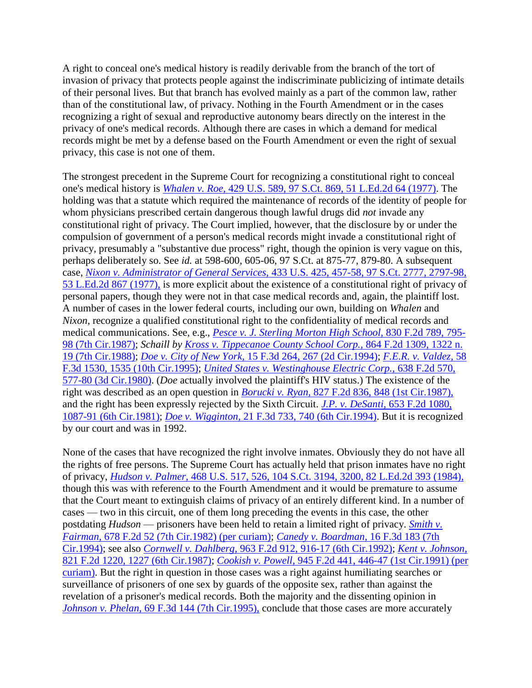A right to conceal one's medical history is readily derivable from the branch of the tort of invasion of privacy that protects people against the indiscriminate publicizing of intimate details of their personal lives. But that branch has evolved mainly as a part of the common law, rather than of the constitutional law, of privacy. Nothing in the Fourth Amendment or in the cases recognizing a right of sexual and reproductive autonomy bears directly on the interest in the privacy of one's medical records. Although there are cases in which a demand for medical records might be met by a defense based on the Fourth Amendment or even the right of sexual privacy, this case is not one of them.

The strongest precedent in the Supreme Court for recognizing a constitutional right to conceal one's medical history is *Whalen v. Roe,* [429 U.S. 589, 97 S.Ct. 869, 51 L.Ed.2d 64 \(1977\).](http://scholar.google.co.in/scholar_case?case=8555735987895894452&q=nderson+v+Romero&hl=en&as_sdt=2,5&scilh=0) The holding was that a statute which required the maintenance of records of the identity of people for whom physicians prescribed certain dangerous though lawful drugs did *not* invade any constitutional right of privacy. The Court implied, however, that the disclosure by or under the compulsion of government of a person's medical records might invade a constitutional right of privacy, presumably a "substantive due process" right, though the opinion is very vague on this, perhaps deliberately so. See *id.* at 598-600, 605-06, 97 S.Ct. at 875-77, 879-80. A subsequent case, *Nixon v. Administrator of General Services,* [433 U.S. 425, 457-58, 97 S.Ct. 2777, 2797-98,](http://scholar.google.co.in/scholar_case?case=11884364268460571560&q=nderson+v+Romero&hl=en&as_sdt=2,5&scilh=0)  [53 L.Ed.2d 867 \(1977\),](http://scholar.google.co.in/scholar_case?case=11884364268460571560&q=nderson+v+Romero&hl=en&as_sdt=2,5&scilh=0) is more explicit about the existence of a constitutional right of privacy of personal papers, though they were not in that case medical records and, again, the plaintiff lost. A number of cases in the lower federal courts, including our own, building on *Whalen* and *Nixon,* recognize a qualified constitutional right to the confidentiality of medical records and medical communications. See, e.g., *[Pesce v. J. Sterling Morton High School,](http://scholar.google.co.in/scholar_case?case=17393174644473900828&q=nderson+v+Romero&hl=en&as_sdt=2,5&scilh=0)* 830 F.2d 789, 795- [98 \(7th Cir.1987\);](http://scholar.google.co.in/scholar_case?case=17393174644473900828&q=nderson+v+Romero&hl=en&as_sdt=2,5&scilh=0) *Schaill by [Kross v. Tippecanoe County School Corp.,](http://scholar.google.co.in/scholar_case?about=17643307897460710211&q=nderson+v+Romero&hl=en&as_sdt=2,5&scilh=0)* 864 F.2d 1309, 1322 n. [19 \(7th Cir.1988\);](http://scholar.google.co.in/scholar_case?about=17643307897460710211&q=nderson+v+Romero&hl=en&as_sdt=2,5&scilh=0) *Doe v. City of New York,* [15 F.3d 264, 267 \(2d Cir.1994\);](http://scholar.google.co.in/scholar_case?case=6515531860514673129&q=nderson+v+Romero&hl=en&as_sdt=2,5&scilh=0) *[F.E.R. v. Valdez,](http://scholar.google.co.in/scholar_case?case=3730966289905201575&q=nderson+v+Romero&hl=en&as_sdt=2,5&scilh=0)* 58 [F.3d 1530, 1535 \(10th Cir.1995\);](http://scholar.google.co.in/scholar_case?case=3730966289905201575&q=nderson+v+Romero&hl=en&as_sdt=2,5&scilh=0) *[United States v. Westinghouse Electric Corp.,](http://scholar.google.co.in/scholar_case?case=10617585320101639909&q=nderson+v+Romero&hl=en&as_sdt=2,5&scilh=0)* 638 F.2d 570, [577-80 \(3d Cir.1980\).](http://scholar.google.co.in/scholar_case?case=10617585320101639909&q=nderson+v+Romero&hl=en&as_sdt=2,5&scilh=0) (*Doe* actually involved the plaintiff's HIV status.) The existence of the right was described as an open question in *Borucki v. Ryan,* [827 F.2d 836, 848 \(1st Cir.1987\),](http://scholar.google.co.in/scholar_case?case=749991321411408939&q=nderson+v+Romero&hl=en&as_sdt=2,5&scilh=0) and the right has been expressly rejected by the Sixth Circuit. *J.P. v. DeSanti,* [653 F.2d 1080,](http://scholar.google.co.in/scholar_case?case=3471958858796033822&q=nderson+v+Romero&hl=en&as_sdt=2,5&scilh=0)  [1087-91 \(6th Cir.1981\);](http://scholar.google.co.in/scholar_case?case=3471958858796033822&q=nderson+v+Romero&hl=en&as_sdt=2,5&scilh=0) *Doe v. Wigginton,* [21 F.3d 733, 740 \(6th Cir.1994\).](http://scholar.google.co.in/scholar_case?case=8747708006908114400&q=nderson+v+Romero&hl=en&as_sdt=2,5&scilh=0) But it is recognized by our court and was in 1992.

None of the cases that have recognized the right involve inmates. Obviously they do not have all the rights of free persons. The Supreme Court has actually held that prison inmates have no right of privacy, *Hudson v. Palmer,* [468 U.S. 517, 526, 104 S.Ct. 3194, 3200, 82 L.Ed.2d 393 \(1984\),](http://scholar.google.co.in/scholar_case?case=18363352680081999614&q=nderson+v+Romero&hl=en&as_sdt=2,5&scilh=0) though this was with reference to the Fourth Amendment and it would be premature to assume that the Court meant to extinguish claims of privacy of an entirely different kind. In a number of cases — two in this circuit, one of them long preceding the events in this case, the other postdating *Hudson* — prisoners have been held to retain a limited right of privacy. *[Smith v.](http://scholar.google.co.in/scholar_case?case=5263940841122637248&q=nderson+v+Romero&hl=en&as_sdt=2,5&scilh=0)  Fairman,* [678 F.2d 52 \(7th Cir.1982\) \(per curiam\);](http://scholar.google.co.in/scholar_case?case=5263940841122637248&q=nderson+v+Romero&hl=en&as_sdt=2,5&scilh=0) *[Canedy v. Boardman,](http://scholar.google.co.in/scholar_case?case=5594682113439055787&q=nderson+v+Romero&hl=en&as_sdt=2,5&scilh=0)* 16 F.3d 183 (7th [Cir.1994\);](http://scholar.google.co.in/scholar_case?case=5594682113439055787&q=nderson+v+Romero&hl=en&as_sdt=2,5&scilh=0) see also *Cornwell v. Dahlberg,* [963 F.2d 912, 916-17 \(6th Cir.1992\);](http://scholar.google.co.in/scholar_case?case=231629049169608947&q=nderson+v+Romero&hl=en&as_sdt=2,5&scilh=0) *[Kent v. Johnson,](http://scholar.google.co.in/scholar_case?case=7932122257187430520&q=nderson+v+Romero&hl=en&as_sdt=2,5&scilh=0)* [821 F.2d 1220, 1227 \(6th Cir.1987\);](http://scholar.google.co.in/scholar_case?case=7932122257187430520&q=nderson+v+Romero&hl=en&as_sdt=2,5&scilh=0) *Cookish v. Powell,* [945 F.2d 441, 446-47 \(1st Cir.1991\) \(per](http://scholar.google.co.in/scholar_case?case=11575155429701881671&q=nderson+v+Romero&hl=en&as_sdt=2,5&scilh=0)  [curiam\).](http://scholar.google.co.in/scholar_case?case=11575155429701881671&q=nderson+v+Romero&hl=en&as_sdt=2,5&scilh=0) But the right in question in those cases was a right against humiliating searches or surveillance of prisoners of one sex by guards of the opposite sex, rather than against the revelation of a prisoner's medical records. Both the majority and the dissenting opinion in *Johnson v. Phelan,* [69 F.3d 144 \(7th Cir.1995\),](http://scholar.google.co.in/scholar_case?case=1805992034338195024&q=nderson+v+Romero&hl=en&as_sdt=2,5&scilh=0) conclude that those cases are more accurately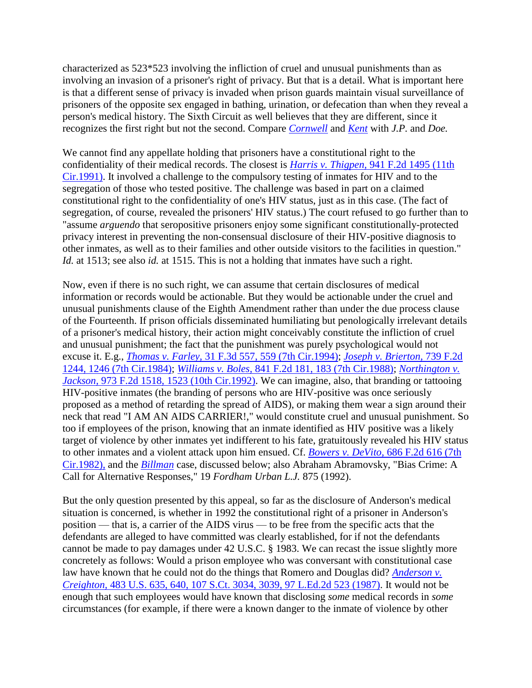characterized as 523\*523 involving the infliction of cruel and unusual punishments than as involving an invasion of a prisoner's right of privacy. But that is a detail. What is important here is that a different sense of privacy is invaded when prison guards maintain visual surveillance of prisoners of the opposite sex engaged in bathing, urination, or defecation than when they reveal a person's medical history. The Sixth Circuit as well believes that they are different, since it recognizes the first right but not the second. Compare *[Cornwell](http://scholar.google.co.in/scholar_case?case=231629049169608947&q=nderson+v+Romero&hl=en&as_sdt=2,5&scilh=0)* and *[Kent](http://scholar.google.co.in/scholar_case?case=7932122257187430520&q=nderson+v+Romero&hl=en&as_sdt=2,5&scilh=0)* with *J.P.* and *Doe.*

We cannot find any appellate holding that prisoners have a constitutional right to the confidentiality of their medical records. The closest is *Harris v. Thigpen,* [941 F.2d 1495 \(11th](http://scholar.google.co.in/scholar_case?case=6662398692491934365&q=nderson+v+Romero&hl=en&as_sdt=2,5&scilh=0)  [Cir.1991\).](http://scholar.google.co.in/scholar_case?case=6662398692491934365&q=nderson+v+Romero&hl=en&as_sdt=2,5&scilh=0) It involved a challenge to the compulsory testing of inmates for HIV and to the segregation of those who tested positive. The challenge was based in part on a claimed constitutional right to the confidentiality of one's HIV status, just as in this case. (The fact of segregation, of course, revealed the prisoners' HIV status.) The court refused to go further than to "assume *arguendo* that seropositive prisoners enjoy some significant constitutionally-protected privacy interest in preventing the non-consensual disclosure of their HIV-positive diagnosis to other inmates, as well as to their families and other outside visitors to the facilities in question." *Id.* at 1513; see also *id.* at 1515. This is not a holding that inmates have such a right.

Now, even if there is no such right, we can assume that certain disclosures of medical information or records would be actionable. But they would be actionable under the cruel and unusual punishments clause of the Eighth Amendment rather than under the due process clause of the Fourteenth. If prison officials disseminated humiliating but penologically irrelevant details of a prisoner's medical history, their action might conceivably constitute the infliction of cruel and unusual punishment; the fact that the punishment was purely psychological would not excuse it. E.g., *Thomas v. Farley,* [31 F.3d 557, 559 \(7th Cir.1994\);](http://scholar.google.co.in/scholar_case?case=1120758398268859367&q=nderson+v+Romero&hl=en&as_sdt=2,5&scilh=0) *[Joseph v. Brierton,](http://scholar.google.co.in/scholar_case?case=10235326289166337302&q=nderson+v+Romero&hl=en&as_sdt=2,5&scilh=0)* 739 F.2d [1244, 1246 \(7th Cir.1984\);](http://scholar.google.co.in/scholar_case?case=10235326289166337302&q=nderson+v+Romero&hl=en&as_sdt=2,5&scilh=0) *Williams v. Boles,* [841 F.2d 181, 183 \(7th Cir.1988\);](http://scholar.google.co.in/scholar_case?case=4505155886048679069&q=nderson+v+Romero&hl=en&as_sdt=2,5&scilh=0) *[Northington v.](http://scholar.google.co.in/scholar_case?case=2534498423199565832&q=nderson+v+Romero&hl=en&as_sdt=2,5&scilh=0)  Jackson,* [973 F.2d 1518, 1523 \(10th Cir.1992\).](http://scholar.google.co.in/scholar_case?case=2534498423199565832&q=nderson+v+Romero&hl=en&as_sdt=2,5&scilh=0) We can imagine, also, that branding or tattooing HIV-positive inmates (the branding of persons who are HIV-positive was once seriously proposed as a method of retarding the spread of AIDS), or making them wear a sign around their neck that read "I AM AN AIDS CARRIER!," would constitute cruel and unusual punishment. So too if employees of the prison, knowing that an inmate identified as HIV positive was a likely target of violence by other inmates yet indifferent to his fate, gratuitously revealed his HIV status to other inmates and a violent attack upon him ensued. Cf. *Bowers v. DeVito,* [686 F.2d 616 \(7th](http://scholar.google.co.in/scholar_case?case=10530656612674401468&q=nderson+v+Romero&hl=en&as_sdt=2,5&scilh=0)  [Cir.1982\),](http://scholar.google.co.in/scholar_case?case=10530656612674401468&q=nderson+v+Romero&hl=en&as_sdt=2,5&scilh=0) and the *[Billman](http://scholar.google.co.in/scholar_case?case=7963608766589015176&q=nderson+v+Romero&hl=en&as_sdt=2,5&scilh=0)* case, discussed below; also Abraham Abramovsky, "Bias Crime: A Call for Alternative Responses," 19 *Fordham Urban L.J.* 875 (1992).

But the only question presented by this appeal, so far as the disclosure of Anderson's medical situation is concerned, is whether in 1992 the constitutional right of a prisoner in Anderson's position — that is, a carrier of the AIDS virus — to be free from the specific acts that the defendants are alleged to have committed was clearly established, for if not the defendants cannot be made to pay damages under 42 U.S.C. § 1983. We can recast the issue slightly more concretely as follows: Would a prison employee who was conversant with constitutional case law have known that he could not do the things that Romero and Douglas did? *[Anderson v.](http://scholar.google.co.in/scholar_case?case=12881500287411882090&q=nderson+v+Romero&hl=en&as_sdt=2,5&scilh=0)  Creighton,* [483 U.S. 635, 640, 107 S.Ct. 3034, 3039, 97 L.Ed.2d 523 \(1987\).](http://scholar.google.co.in/scholar_case?case=12881500287411882090&q=nderson+v+Romero&hl=en&as_sdt=2,5&scilh=0) It would not be enough that such employees would have known that disclosing *some* medical records in *some* circumstances (for example, if there were a known danger to the inmate of violence by other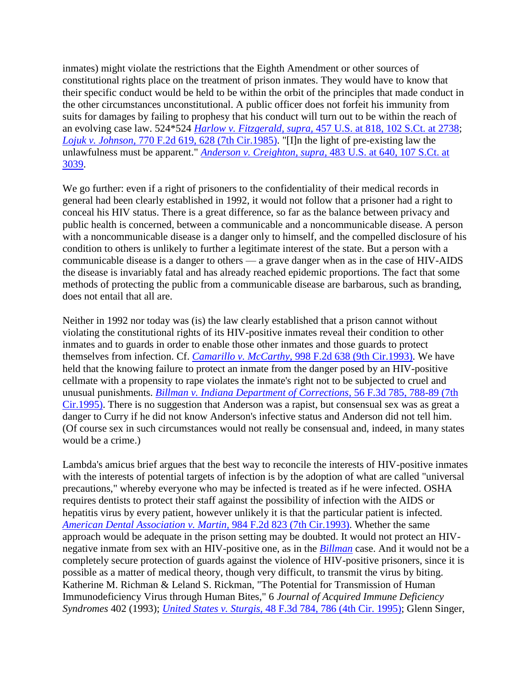inmates) might violate the restrictions that the Eighth Amendment or other sources of constitutional rights place on the treatment of prison inmates. They would have to know that their specific conduct would be held to be within the orbit of the principles that made conduct in the other circumstances unconstitutional. A public officer does not forfeit his immunity from suits for damages by failing to prophesy that his conduct will turn out to be within the reach of an evolving case law. 524\*524 *Harlow v. Fitzgerald, supra,* [457 U.S. at 818, 102 S.Ct. at 2738;](http://scholar.google.co.in/scholar_case?case=13486920831186038844&q=nderson+v+Romero&hl=en&as_sdt=2,5&scilh=0) *Lojuk v. Johnson,* [770 F.2d 619, 628 \(7th Cir.1985\).](http://scholar.google.co.in/scholar_case?case=16281182910607436416&q=nderson+v+Romero&hl=en&as_sdt=2,5&scilh=0) "[I]n the light of pre-existing law the unlawfulness must be apparent." *[Anderson v. Creighton, supra,](http://scholar.google.co.in/scholar_case?case=12881500287411882090&q=nderson+v+Romero&hl=en&as_sdt=2,5&scilh=0)* 483 U.S. at 640, 107 S.Ct. at [3039.](http://scholar.google.co.in/scholar_case?case=12881500287411882090&q=nderson+v+Romero&hl=en&as_sdt=2,5&scilh=0)

We go further: even if a right of prisoners to the confidentiality of their medical records in general had been clearly established in 1992, it would not follow that a prisoner had a right to conceal his HIV status. There is a great difference, so far as the balance between privacy and public health is concerned, between a communicable and a noncommunicable disease. A person with a noncommunicable disease is a danger only to himself, and the compelled disclosure of his condition to others is unlikely to further a legitimate interest of the state. But a person with a communicable disease is a danger to others — a grave danger when as in the case of HIV-AIDS the disease is invariably fatal and has already reached epidemic proportions. The fact that some methods of protecting the public from a communicable disease are barbarous, such as branding, does not entail that all are.

Neither in 1992 nor today was (is) the law clearly established that a prison cannot without violating the constitutional rights of its HIV-positive inmates reveal their condition to other inmates and to guards in order to enable those other inmates and those guards to protect themselves from infection. Cf. *Camarillo v. McCarthy,* [998 F.2d 638 \(9th Cir.1993\).](http://scholar.google.co.in/scholar_case?case=8408752880648841209&q=nderson+v+Romero&hl=en&as_sdt=2,5&scilh=0) We have held that the knowing failure to protect an inmate from the danger posed by an HIV-positive cellmate with a propensity to rape violates the inmate's right not to be subjected to cruel and unusual punishments. *[Billman v. Indiana Department of Corrections,](http://scholar.google.co.in/scholar_case?case=7963608766589015176&q=nderson+v+Romero&hl=en&as_sdt=2,5&scilh=0)* 56 F.3d 785, 788-89 (7th [Cir.1995\).](http://scholar.google.co.in/scholar_case?case=7963608766589015176&q=nderson+v+Romero&hl=en&as_sdt=2,5&scilh=0) There is no suggestion that Anderson was a rapist, but consensual sex was as great a danger to Curry if he did not know Anderson's infective status and Anderson did not tell him. (Of course sex in such circumstances would not really be consensual and, indeed, in many states would be a crime.)

Lambda's amicus brief argues that the best way to reconcile the interests of HIV-positive inmates with the interests of potential targets of infection is by the adoption of what are called "universal precautions," whereby everyone who may be infected is treated as if he were infected. OSHA requires dentists to protect their staff against the possibility of infection with the AIDS or hepatitis virus by every patient, however unlikely it is that the particular patient is infected. *[American Dental Association v. Martin,](http://scholar.google.co.in/scholar_case?case=15411553826036871527&q=nderson+v+Romero&hl=en&as_sdt=2,5&scilh=0)* 984 F.2d 823 (7th Cir.1993). Whether the same approach would be adequate in the prison setting may be doubted. It would not protect an HIVnegative inmate from sex with an HIV-positive one, as in the *[Billman](http://scholar.google.co.in/scholar_case?case=7963608766589015176&q=nderson+v+Romero&hl=en&as_sdt=2,5&scilh=0)* case. And it would not be a completely secure protection of guards against the violence of HIV-positive prisoners, since it is possible as a matter of medical theory, though very difficult, to transmit the virus by biting. Katherine M. Richman & Leland S. Rickman, "The Potential for Transmission of Human Immunodeficiency Virus through Human Bites," 6 *Journal of Acquired Immune Deficiency Syndromes* 402 (1993); *United States v. Sturgis,* [48 F.3d 784, 786 \(4th Cir. 1995\);](http://scholar.google.co.in/scholar_case?case=9469746461155992094&q=nderson+v+Romero&hl=en&as_sdt=2,5&scilh=0) Glenn Singer,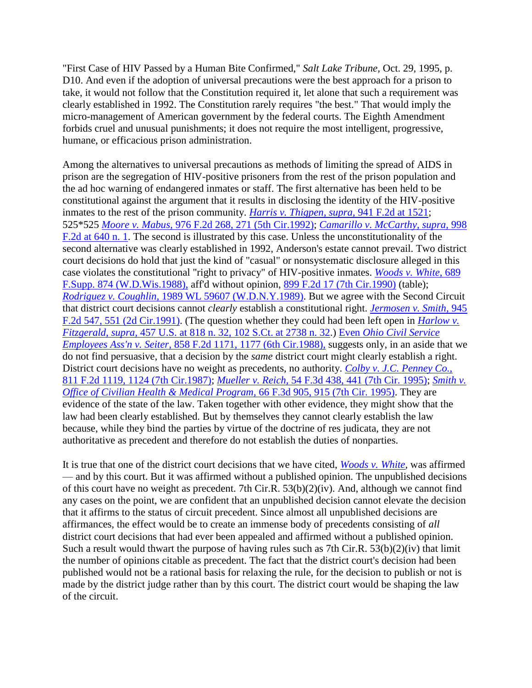"First Case of HIV Passed by a Human Bite Confirmed," *Salt Lake Tribune,* Oct. 29, 1995, p. D10. And even if the adoption of universal precautions were the best approach for a prison to take, it would not follow that the Constitution required it, let alone that such a requirement was clearly established in 1992. The Constitution rarely requires "the best." That would imply the micro-management of American government by the federal courts. The Eighth Amendment forbids cruel and unusual punishments; it does not require the most intelligent, progressive, humane, or efficacious prison administration.

Among the alternatives to universal precautions as methods of limiting the spread of AIDS in prison are the segregation of HIV-positive prisoners from the rest of the prison population and the ad hoc warning of endangered inmates or staff. The first alternative has been held to be constitutional against the argument that it results in disclosing the identity of the HIV-positive inmates to the rest of the prison community. *[Harris v. Thigpen, supra,](http://scholar.google.co.in/scholar_case?case=6662398692491934365&q=nderson+v+Romero&hl=en&as_sdt=2,5&scilh=0)* 941 F.2d at 1521; 525\*525 *Moore v. Mabus,* [976 F.2d 268, 271 \(5th Cir.1992\);](http://scholar.google.co.in/scholar_case?case=11924790352853915313&q=nderson+v+Romero&hl=en&as_sdt=2,5&scilh=0) *[Camarillo v. McCarthy, supra,](http://scholar.google.co.in/scholar_case?case=8408752880648841209&q=nderson+v+Romero&hl=en&as_sdt=2,5&scilh=0)* 998 [F.2d at 640 n. 1.](http://scholar.google.co.in/scholar_case?case=8408752880648841209&q=nderson+v+Romero&hl=en&as_sdt=2,5&scilh=0) The second is illustrated by this case. Unless the unconstitutionality of the second alternative was clearly established in 1992, Anderson's estate cannot prevail. Two district court decisions do hold that just the kind of "casual" or nonsystematic disclosure alleged in this case violates the constitutional "right to privacy" of HIV-positive inmates. *[Woods v. White,](http://scholar.google.co.in/scholar_case?case=8038232282848115101&q=nderson+v+Romero&hl=en&as_sdt=2,5&scilh=0)* 689 [F.Supp. 874 \(W.D.Wis.1988\),](http://scholar.google.co.in/scholar_case?case=8038232282848115101&q=nderson+v+Romero&hl=en&as_sdt=2,5&scilh=0) aff'd without opinion, [899 F.2d 17 \(7th Cir.1990\)](http://scholar.google.co.in/scholar_case?about=8479740894376130318&q=nderson+v+Romero&hl=en&as_sdt=2,5&scilh=0) (table); *Rodriguez v. Coughlin,* [1989 WL 59607 \(W.D.N.Y.1989\).](http://scholar.google.co.in/scholar_case?about=2503150097498427937&q=nderson+v+Romero&hl=en&as_sdt=2,5&scilh=0) But we agree with the Second Circuit that district court decisions cannot *clearly* establish a constitutional right. *[Jermosen v. Smith,](http://scholar.google.co.in/scholar_case?case=3584380827599044465&q=nderson+v+Romero&hl=en&as_sdt=2,5&scilh=0)* 945 [F.2d 547, 551 \(2d Cir.1991\).](http://scholar.google.co.in/scholar_case?case=3584380827599044465&q=nderson+v+Romero&hl=en&as_sdt=2,5&scilh=0) (The question whether they could had been left open in *[Harlow v.](http://scholar.google.co.in/scholar_case?case=13486920831186038844&q=nderson+v+Romero&hl=en&as_sdt=2,5&scilh=0)  Fitzgerald, supra,* [457 U.S. at 818 n. 32, 102 S.Ct. at 2738 n. 32.](http://scholar.google.co.in/scholar_case?case=13486920831186038844&q=nderson+v+Romero&hl=en&as_sdt=2,5&scilh=0)) Even *[Ohio Civil Service](http://scholar.google.co.in/scholar_case?case=16295467272146234614&q=nderson+v+Romero&hl=en&as_sdt=2,5&scilh=0)  Employees Ass'n v. Seiter,* [858 F.2d 1171, 1177 \(6th Cir.1988\),](http://scholar.google.co.in/scholar_case?case=16295467272146234614&q=nderson+v+Romero&hl=en&as_sdt=2,5&scilh=0) suggests only, in an aside that we do not find persuasive, that a decision by the *same* district court might clearly establish a right. District court decisions have no weight as precedents, no authority. *[Colby v. J.C. Penney Co.,](http://scholar.google.co.in/scholar_case?case=5921872079207490294&q=nderson+v+Romero&hl=en&as_sdt=2,5&scilh=0)* [811 F.2d 1119, 1124 \(7th Cir.1987\);](http://scholar.google.co.in/scholar_case?case=5921872079207490294&q=nderson+v+Romero&hl=en&as_sdt=2,5&scilh=0) *Mueller v. Reich,* [54 F.3d 438, 441 \(7th Cir. 1995\);](http://scholar.google.co.in/scholar_case?case=12756091734349003940&q=nderson+v+Romero&hl=en&as_sdt=2,5&scilh=0) *[Smith v.](http://scholar.google.co.in/scholar_case?about=16952933463871637916&q=nderson+v+Romero&hl=en&as_sdt=2,5&scilh=0)  [Office of Civilian Health & Medical Program,](http://scholar.google.co.in/scholar_case?about=16952933463871637916&q=nderson+v+Romero&hl=en&as_sdt=2,5&scilh=0)* 66 F.3d 905, 915 (7th Cir. 1995). They are evidence of the state of the law. Taken together with other evidence, they might show that the law had been clearly established. But by themselves they cannot clearly establish the law because, while they bind the parties by virtue of the doctrine of res judicata, they are not authoritative as precedent and therefore do not establish the duties of nonparties.

It is true that one of the district court decisions that we have cited, *[Woods v. White,](http://scholar.google.co.in/scholar_case?case=8038232282848115101&q=nderson+v+Romero&hl=en&as_sdt=2,5&scilh=0)* was affirmed — and by this court. But it was affirmed without a published opinion. The unpublished decisions of this court have no weight as precedent. 7th Cir.R. 53(b)(2)(iv). And, although we cannot find any cases on the point, we are confident that an unpublished decision cannot elevate the decision that it affirms to the status of circuit precedent. Since almost all unpublished decisions are affirmances, the effect would be to create an immense body of precedents consisting of *all* district court decisions that had ever been appealed and affirmed without a published opinion. Such a result would thwart the purpose of having rules such as 7th Cir.R. 53(b)(2)(iv) that limit the number of opinions citable as precedent. The fact that the district court's decision had been published would not be a rational basis for relaxing the rule, for the decision to publish or not is made by the district judge rather than by this court. The district court would be shaping the law of the circuit.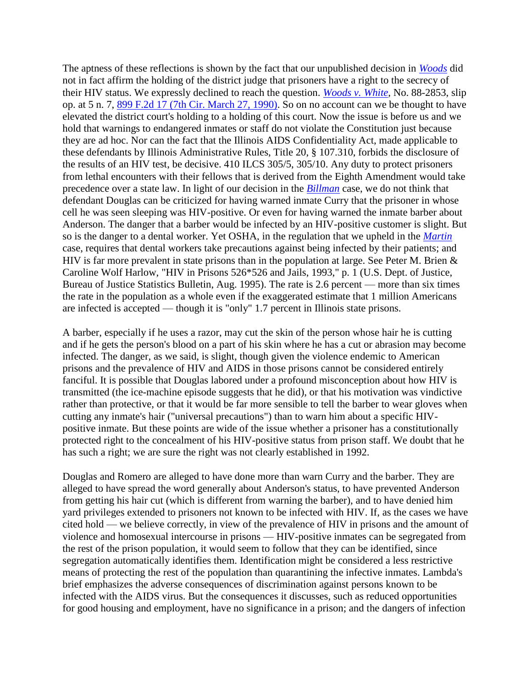The aptness of these reflections is shown by the fact that our unpublished decision in *[Woods](http://scholar.google.co.in/scholar_case?case=8038232282848115101&q=nderson+v+Romero&hl=en&as_sdt=2,5&scilh=0)* did not in fact affirm the holding of the district judge that prisoners have a right to the secrecy of their HIV status. We expressly declined to reach the question. *[Woods v. White,](http://scholar.google.co.in/scholar_case?case=8038232282848115101&q=nderson+v+Romero&hl=en&as_sdt=2,5&scilh=0)* No. 88-2853, slip op. at 5 n. 7, [899 F.2d 17 \(7th Cir. March 27, 1990\).](http://scholar.google.co.in/scholar_case?about=8479740894376130318&q=nderson+v+Romero&hl=en&as_sdt=2,5&scilh=0) So on no account can we be thought to have elevated the district court's holding to a holding of this court. Now the issue is before us and we hold that warnings to endangered inmates or staff do not violate the Constitution just because they are ad hoc. Nor can the fact that the Illinois AIDS Confidentiality Act, made applicable to these defendants by Illinois Administrative Rules, Title 20, § 107.310, forbids the disclosure of the results of an HIV test, be decisive. 410 ILCS 305/5, 305/10. Any duty to protect prisoners from lethal encounters with their fellows that is derived from the Eighth Amendment would take precedence over a state law. In light of our decision in the *[Billman](http://scholar.google.co.in/scholar_case?case=7963608766589015176&q=nderson+v+Romero&hl=en&as_sdt=2,5&scilh=0)* case, we do not think that defendant Douglas can be criticized for having warned inmate Curry that the prisoner in whose cell he was seen sleeping was HIV-positive. Or even for having warned the inmate barber about Anderson. The danger that a barber would be infected by an HIV-positive customer is slight. But so is the danger to a dental worker. Yet OSHA, in the regulation that we upheld in the *[Martin](http://scholar.google.co.in/scholar_case?case=15411553826036871527&q=nderson+v+Romero&hl=en&as_sdt=2,5&scilh=0)* case, requires that dental workers take precautions against being infected by their patients; and HIV is far more prevalent in state prisons than in the population at large. See Peter M. Brien & Caroline Wolf Harlow, "HIV in Prisons 526\*526 and Jails, 1993," p. 1 (U.S. Dept. of Justice, Bureau of Justice Statistics Bulletin, Aug. 1995). The rate is 2.6 percent — more than six times the rate in the population as a whole even if the exaggerated estimate that 1 million Americans are infected is accepted — though it is "only" 1.7 percent in Illinois state prisons.

A barber, especially if he uses a razor, may cut the skin of the person whose hair he is cutting and if he gets the person's blood on a part of his skin where he has a cut or abrasion may become infected. The danger, as we said, is slight, though given the violence endemic to American prisons and the prevalence of HIV and AIDS in those prisons cannot be considered entirely fanciful. It is possible that Douglas labored under a profound misconception about how HIV is transmitted (the ice-machine episode suggests that he did), or that his motivation was vindictive rather than protective, or that it would be far more sensible to tell the barber to wear gloves when cutting any inmate's hair ("universal precautions") than to warn him about a specific HIVpositive inmate. But these points are wide of the issue whether a prisoner has a constitutionally protected right to the concealment of his HIV-positive status from prison staff. We doubt that he has such a right; we are sure the right was not clearly established in 1992.

Douglas and Romero are alleged to have done more than warn Curry and the barber. They are alleged to have spread the word generally about Anderson's status, to have prevented Anderson from getting his hair cut (which is different from warning the barber), and to have denied him yard privileges extended to prisoners not known to be infected with HIV. If, as the cases we have cited hold — we believe correctly, in view of the prevalence of HIV in prisons and the amount of violence and homosexual intercourse in prisons — HIV-positive inmates can be segregated from the rest of the prison population, it would seem to follow that they can be identified, since segregation automatically identifies them. Identification might be considered a less restrictive means of protecting the rest of the population than quarantining the infective inmates. Lambda's brief emphasizes the adverse consequences of discrimination against persons known to be infected with the AIDS virus. But the consequences it discusses, such as reduced opportunities for good housing and employment, have no significance in a prison; and the dangers of infection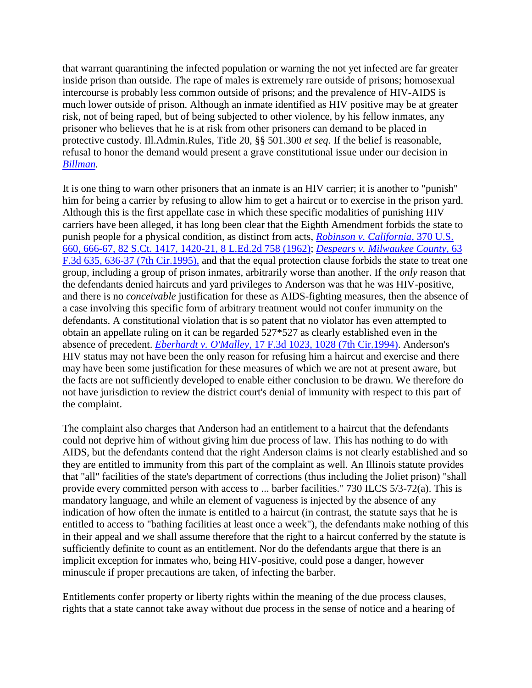that warrant quarantining the infected population or warning the not yet infected are far greater inside prison than outside. The rape of males is extremely rare outside of prisons; homosexual intercourse is probably less common outside of prisons; and the prevalence of HIV-AIDS is much lower outside of prison. Although an inmate identified as HIV positive may be at greater risk, not of being raped, but of being subjected to other violence, by his fellow inmates, any prisoner who believes that he is at risk from other prisoners can demand to be placed in protective custody. Ill.Admin.Rules, Title 20, §§ 501.300 *et seq.* If the belief is reasonable, refusal to honor the demand would present a grave constitutional issue under our decision in *[Billman.](http://scholar.google.co.in/scholar_case?case=7963608766589015176&q=nderson+v+Romero&hl=en&as_sdt=2,5&scilh=0)*

It is one thing to warn other prisoners that an inmate is an HIV carrier; it is another to "punish" him for being a carrier by refusing to allow him to get a haircut or to exercise in the prison yard. Although this is the first appellate case in which these specific modalities of punishing HIV carriers have been alleged, it has long been clear that the Eighth Amendment forbids the state to punish people for a physical condition, as distinct from acts, *[Robinson v. California,](http://scholar.google.co.in/scholar_case?case=3358010003227436496&q=nderson+v+Romero&hl=en&as_sdt=2,5&scilh=0)* 370 U.S. [660, 666-67, 82 S.Ct. 1417, 1420-21, 8 L.Ed.2d 758 \(1962\);](http://scholar.google.co.in/scholar_case?case=3358010003227436496&q=nderson+v+Romero&hl=en&as_sdt=2,5&scilh=0) *[Despears v. Milwaukee County,](http://scholar.google.co.in/scholar_case?case=18243421741165469209&q=nderson+v+Romero&hl=en&as_sdt=2,5&scilh=0)* 63 [F.3d 635, 636-37 \(7th Cir.1995\),](http://scholar.google.co.in/scholar_case?case=18243421741165469209&q=nderson+v+Romero&hl=en&as_sdt=2,5&scilh=0) and that the equal protection clause forbids the state to treat one group, including a group of prison inmates, arbitrarily worse than another. If the *only* reason that the defendants denied haircuts and yard privileges to Anderson was that he was HIV-positive, and there is no *conceivable* justification for these as AIDS-fighting measures, then the absence of a case involving this specific form of arbitrary treatment would not confer immunity on the defendants. A constitutional violation that is so patent that no violator has even attempted to obtain an appellate ruling on it can be regarded 527\*527 as clearly established even in the absence of precedent. *Eberhardt v. O'Malley,* [17 F.3d 1023, 1028 \(7th Cir.1994\).](http://scholar.google.co.in/scholar_case?case=846593253889748806&q=nderson+v+Romero&hl=en&as_sdt=2,5&scilh=0) Anderson's HIV status may not have been the only reason for refusing him a haircut and exercise and there may have been some justification for these measures of which we are not at present aware, but the facts are not sufficiently developed to enable either conclusion to be drawn. We therefore do not have jurisdiction to review the district court's denial of immunity with respect to this part of the complaint.

The complaint also charges that Anderson had an entitlement to a haircut that the defendants could not deprive him of without giving him due process of law. This has nothing to do with AIDS, but the defendants contend that the right Anderson claims is not clearly established and so they are entitled to immunity from this part of the complaint as well. An Illinois statute provides that "all" facilities of the state's department of corrections (thus including the Joliet prison) "shall provide every committed person with access to ... barber facilities." 730 ILCS 5/3-72(a). This is mandatory language, and while an element of vagueness is injected by the absence of any indication of how often the inmate is entitled to a haircut (in contrast, the statute says that he is entitled to access to "bathing facilities at least once a week"), the defendants make nothing of this in their appeal and we shall assume therefore that the right to a haircut conferred by the statute is sufficiently definite to count as an entitlement. Nor do the defendants argue that there is an implicit exception for inmates who, being HIV-positive, could pose a danger, however minuscule if proper precautions are taken, of infecting the barber.

Entitlements confer property or liberty rights within the meaning of the due process clauses, rights that a state cannot take away without due process in the sense of notice and a hearing of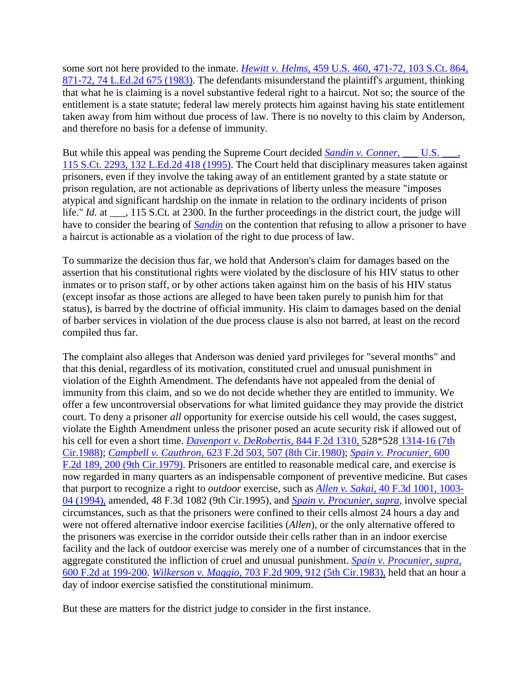some sort not here provided to the inmate. *Hewitt v. Helms,* [459 U.S. 460, 471-72, 103 S.Ct. 864,](http://scholar.google.co.in/scholar_case?case=15087164344148843133&q=nderson+v+Romero&hl=en&as_sdt=2,5&scilh=0)  [871-72, 74 L.Ed.2d 675 \(1983\).](http://scholar.google.co.in/scholar_case?case=15087164344148843133&q=nderson+v+Romero&hl=en&as_sdt=2,5&scilh=0) The defendants misunderstand the plaintiff's argument, thinking that what he is claiming is a novel substantive federal right to a haircut. Not so; the source of the entitlement is a state statute; federal law merely protects him against having his state entitlement taken away from him without due process of law. There is no novelty to this claim by Anderson, and therefore no basis for a defense of immunity.

But while this appeal was pending the Supreme Court decided *Sandin v. Conner*, \_\_\_ U.S. \_\_\_, [115 S.Ct. 2293, 132 L.Ed.2d 418 \(1995\).](http://scholar.google.co.in/scholar_case?case=15006749310236906628&q=nderson+v+Romero&hl=en&as_sdt=2,5&scilh=0) The Court held that disciplinary measures taken against prisoners, even if they involve the taking away of an entitlement granted by a state statute or prison regulation, are not actionable as deprivations of liberty unless the measure "imposes atypical and significant hardship on the inmate in relation to the ordinary incidents of prison life." *Id.* at \_\_\_, 115 S.Ct. at 2300. In the further proceedings in the district court, the judge will have to consider the bearing of *[Sandin](http://scholar.google.co.in/scholar_case?case=15006749310236906628&q=nderson+v+Romero&hl=en&as_sdt=2,5&scilh=0)* on the contention that refusing to allow a prisoner to have a haircut is actionable as a violation of the right to due process of law.

To summarize the decision thus far, we hold that Anderson's claim for damages based on the assertion that his constitutional rights were violated by the disclosure of his HIV status to other inmates or to prison staff, or by other actions taken against him on the basis of his HIV status (except insofar as those actions are alleged to have been taken purely to punish him for that status), is barred by the doctrine of official immunity. His claim to damages based on the denial of barber services in violation of the due process clause is also not barred, at least on the record compiled thus far.

The complaint also alleges that Anderson was denied yard privileges for "several months" and that this denial, regardless of its motivation, constituted cruel and unusual punishment in violation of the Eighth Amendment. The defendants have not appealed from the denial of immunity from this claim, and so we do not decide whether they are entitled to immunity. We offer a few uncontroversial observations for what limited guidance they may provide the district court. To deny a prisoner *all* opportunity for exercise outside his cell would, the cases suggest, violate the Eighth Amendment unless the prisoner posed an acute security risk if allowed out of his cell for even a short time. *[Davenport v. DeRobertis,](http://scholar.google.co.in/scholar_case?case=8560800355083556939&q=nderson+v+Romero&hl=en&as_sdt=2,5&scilh=0)* 844 F.2d 1310, 528\*528 [1314-16 \(7th](http://scholar.google.co.in/scholar_case?case=8560800355083556939&q=nderson+v+Romero&hl=en&as_sdt=2,5&scilh=0)  [Cir.1988\);](http://scholar.google.co.in/scholar_case?case=8560800355083556939&q=nderson+v+Romero&hl=en&as_sdt=2,5&scilh=0) *Campbell v. Cauthron,* [623 F.2d 503, 507 \(8th Cir.1980\);](http://scholar.google.co.in/scholar_case?case=2751202303506954233&q=nderson+v+Romero&hl=en&as_sdt=2,5&scilh=0) *[Spain v. Procunier,](http://scholar.google.co.in/scholar_case?case=3483273953214453314&q=nderson+v+Romero&hl=en&as_sdt=2,5&scilh=0)* 600 [F.2d 189, 200 \(9th Cir.1979\).](http://scholar.google.co.in/scholar_case?case=3483273953214453314&q=nderson+v+Romero&hl=en&as_sdt=2,5&scilh=0) Prisoners are entitled to reasonable medical care, and exercise is now regarded in many quarters as an indispensable component of preventive medicine. But cases that purport to recognize a right to *outdoor* exercise, such as *Allen v. Sakai,* [40 F.3d 1001, 1003-](http://scholar.google.co.in/scholar_case?case=12344252668952342842&q=nderson+v+Romero&hl=en&as_sdt=2,5&scilh=0) [04 \(1994\),](http://scholar.google.co.in/scholar_case?case=12344252668952342842&q=nderson+v+Romero&hl=en&as_sdt=2,5&scilh=0) amended, 48 F.3d 1082 (9th Cir.1995), and *[Spain v. Procunier, supra,](http://scholar.google.co.in/scholar_case?case=3483273953214453314&q=nderson+v+Romero&hl=en&as_sdt=2,5&scilh=0)* involve special circumstances, such as that the prisoners were confined to their cells almost 24 hours a day and were not offered alternative indoor exercise facilities (*Allen*), or the only alternative offered to the prisoners was exercise in the corridor outside their cells rather than in an indoor exercise facility and the lack of outdoor exercise was merely one of a number of circumstances that in the aggregate constituted the infliction of cruel and unusual punishment. *[Spain v. Procunier, supra,](http://scholar.google.co.in/scholar_case?case=3483273953214453314&q=nderson+v+Romero&hl=en&as_sdt=2,5&scilh=0)* [600 F.2d at 199-200.](http://scholar.google.co.in/scholar_case?case=3483273953214453314&q=nderson+v+Romero&hl=en&as_sdt=2,5&scilh=0) *Wilkerson v. Maggio,* [703 F.2d 909, 912 \(5th Cir.1983\),](http://scholar.google.co.in/scholar_case?case=3268232121585487575&q=nderson+v+Romero&hl=en&as_sdt=2,5&scilh=0) held that an hour a day of indoor exercise satisfied the constitutional minimum.

But these are matters for the district judge to consider in the first instance.